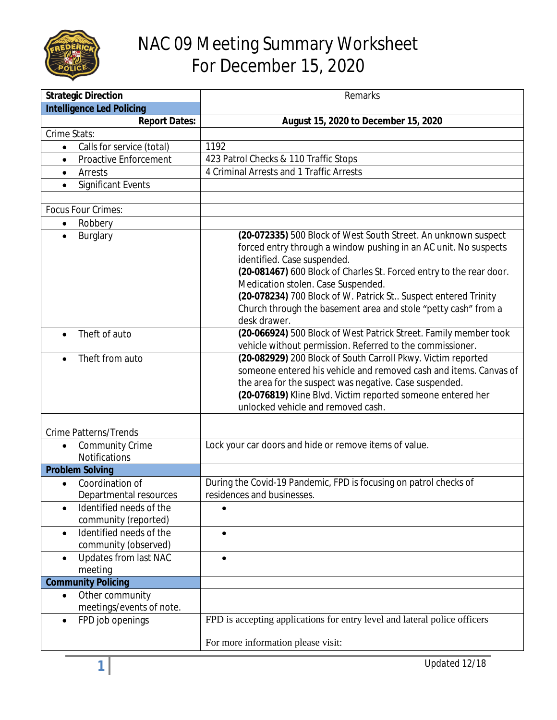

## NAC 09 Meeting Summary Worksheet For December 15, 2020

| <b>Strategic Direction</b>                                                                                | Remarks                                                                                                                                                                                                                                                                                                                                                                                                                            |
|-----------------------------------------------------------------------------------------------------------|------------------------------------------------------------------------------------------------------------------------------------------------------------------------------------------------------------------------------------------------------------------------------------------------------------------------------------------------------------------------------------------------------------------------------------|
| <b>Intelligence Led Policing</b>                                                                          |                                                                                                                                                                                                                                                                                                                                                                                                                                    |
| <b>Report Dates:</b>                                                                                      | August 15, 2020 to December 15, 2020                                                                                                                                                                                                                                                                                                                                                                                               |
| Crime Stats:                                                                                              |                                                                                                                                                                                                                                                                                                                                                                                                                                    |
| Calls for service (total)<br>$\bullet$                                                                    | 1192                                                                                                                                                                                                                                                                                                                                                                                                                               |
| <b>Proactive Enforcement</b><br>$\bullet$                                                                 | 423 Patrol Checks & 110 Traffic Stops                                                                                                                                                                                                                                                                                                                                                                                              |
| Arrests<br>$\bullet$                                                                                      | 4 Criminal Arrests and 1 Traffic Arrests                                                                                                                                                                                                                                                                                                                                                                                           |
| <b>Significant Events</b><br>$\bullet$                                                                    |                                                                                                                                                                                                                                                                                                                                                                                                                                    |
|                                                                                                           |                                                                                                                                                                                                                                                                                                                                                                                                                                    |
| Focus Four Crimes:                                                                                        |                                                                                                                                                                                                                                                                                                                                                                                                                                    |
| Robbery<br>$\bullet$                                                                                      |                                                                                                                                                                                                                                                                                                                                                                                                                                    |
| Burglary<br>$\bullet$                                                                                     | (20-072335) 500 Block of West South Street. An unknown suspect<br>forced entry through a window pushing in an AC unit. No suspects<br>identified. Case suspended.<br>(20-081467) 600 Block of Charles St. Forced entry to the rear door.<br>Medication stolen. Case Suspended.<br>(20-078234) 700 Block of W. Patrick St Suspect entered Trinity<br>Church through the basement area and stole "petty cash" from a<br>desk drawer. |
| Theft of auto<br>$\bullet$                                                                                | (20-066924) 500 Block of West Patrick Street. Family member took<br>vehicle without permission. Referred to the commissioner.                                                                                                                                                                                                                                                                                                      |
| Theft from auto                                                                                           | (20-082929) 200 Block of South Carroll Pkwy. Victim reported<br>someone entered his vehicle and removed cash and items. Canvas of<br>the area for the suspect was negative. Case suspended.<br>(20-076819) Kline Blvd. Victim reported someone entered her<br>unlocked vehicle and removed cash.                                                                                                                                   |
| <b>Crime Patterns/Trends</b>                                                                              |                                                                                                                                                                                                                                                                                                                                                                                                                                    |
| <b>Community Crime</b><br>$\bullet$<br>Notifications                                                      | Lock your car doors and hide or remove items of value.                                                                                                                                                                                                                                                                                                                                                                             |
| <b>Problem Solving</b>                                                                                    |                                                                                                                                                                                                                                                                                                                                                                                                                                    |
| Coordination of<br>$\bullet$<br>Departmental resources<br>Identified needs of the<br>community (reported) | During the Covid-19 Pandemic, FPD is focusing on patrol checks of<br>residences and businesses.                                                                                                                                                                                                                                                                                                                                    |
| Identified needs of the<br>$\bullet$<br>community (observed)                                              | $\bullet$                                                                                                                                                                                                                                                                                                                                                                                                                          |
| Updates from last NAC<br>meeting                                                                          | $\bullet$                                                                                                                                                                                                                                                                                                                                                                                                                          |
| <b>Community Policing</b>                                                                                 |                                                                                                                                                                                                                                                                                                                                                                                                                                    |
| Other community<br>$\bullet$<br>meetings/events of note.                                                  |                                                                                                                                                                                                                                                                                                                                                                                                                                    |
| FPD job openings                                                                                          | FPD is accepting applications for entry level and lateral police officers                                                                                                                                                                                                                                                                                                                                                          |
|                                                                                                           | For more information please visit:                                                                                                                                                                                                                                                                                                                                                                                                 |